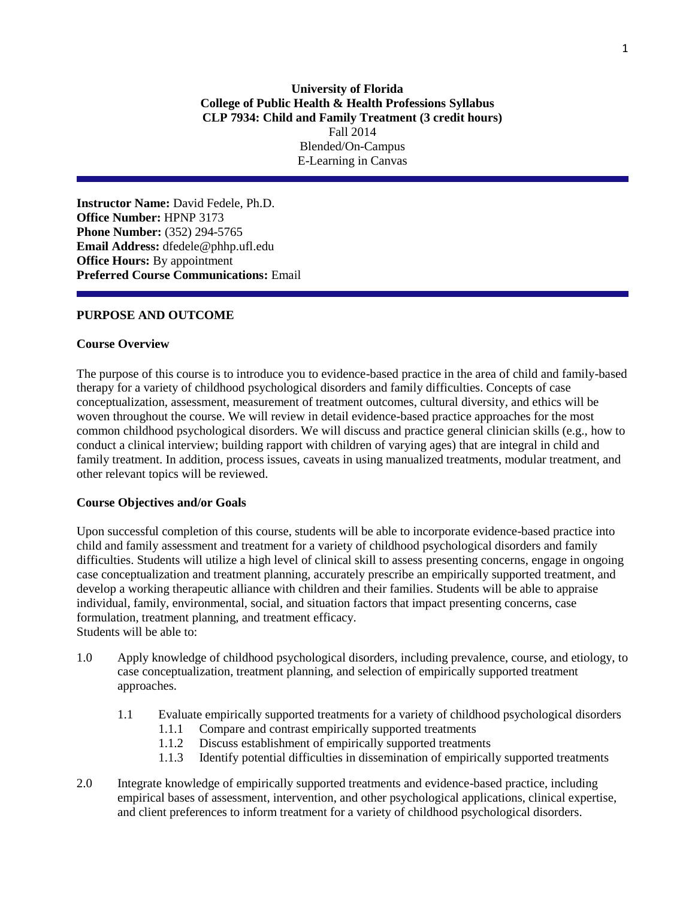**Instructor Name:** David Fedele, Ph.D. **Office Number:** HPNP 3173 **Phone Number:** (352) 294-5765 **Email Address:** dfedele@phhp.ufl.edu **Office Hours:** By appointment **Preferred Course Communications:** Email

### **PURPOSE AND OUTCOME**

#### **Course Overview**

The purpose of this course is to introduce you to evidence-based practice in the area of child and family-based therapy for a variety of childhood psychological disorders and family difficulties. Concepts of case conceptualization, assessment, measurement of treatment outcomes, cultural diversity, and ethics will be woven throughout the course. We will review in detail evidence-based practice approaches for the most common childhood psychological disorders. We will discuss and practice general clinician skills (e.g., how to conduct a clinical interview; building rapport with children of varying ages) that are integral in child and family treatment. In addition, process issues, caveats in using manualized treatments, modular treatment, and other relevant topics will be reviewed.

#### **Course Objectives and/or Goals**

Upon successful completion of this course, students will be able to incorporate evidence-based practice into child and family assessment and treatment for a variety of childhood psychological disorders and family difficulties. Students will utilize a high level of clinical skill to assess presenting concerns, engage in ongoing case conceptualization and treatment planning, accurately prescribe an empirically supported treatment, and develop a working therapeutic alliance with children and their families. Students will be able to appraise individual, family, environmental, social, and situation factors that impact presenting concerns, case formulation, treatment planning, and treatment efficacy. Students will be able to:

- 1.0 Apply knowledge of childhood psychological disorders, including prevalence, course, and etiology, to case conceptualization, treatment planning, and selection of empirically supported treatment approaches.
	- 1.1 Evaluate empirically supported treatments for a variety of childhood psychological disorders
		- 1.1.1 Compare and contrast empirically supported treatments
		- 1.1.2 Discuss establishment of empirically supported treatments
		- 1.1.3 Identify potential difficulties in dissemination of empirically supported treatments
- 2.0 Integrate knowledge of empirically supported treatments and evidence-based practice, including empirical bases of assessment, intervention, and other psychological applications, clinical expertise, and client preferences to inform treatment for a variety of childhood psychological disorders.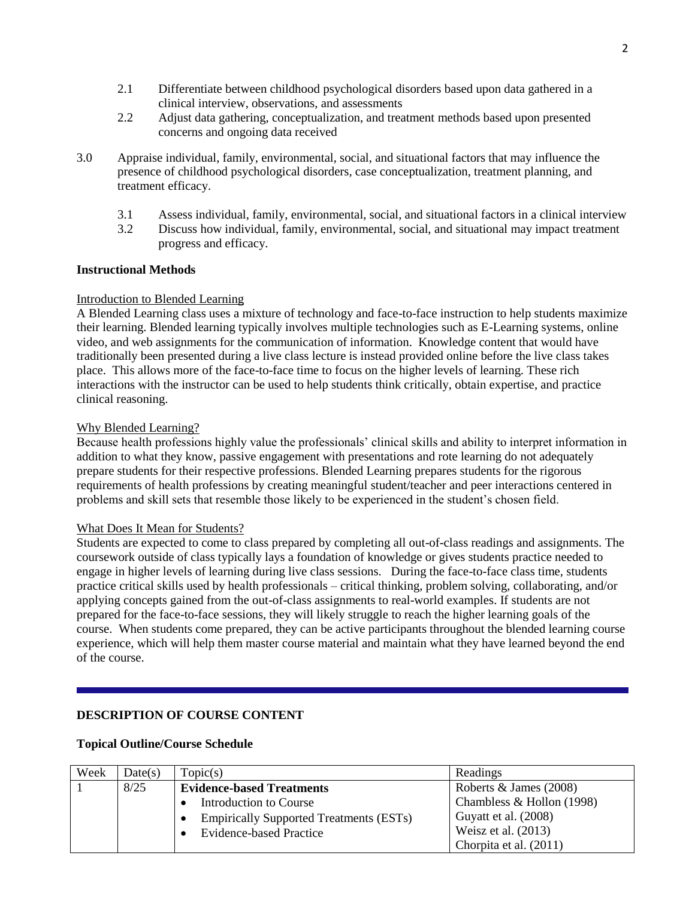- 2.1 Differentiate between childhood psychological disorders based upon data gathered in a clinical interview, observations, and assessments
- 2.2 Adjust data gathering, conceptualization, and treatment methods based upon presented concerns and ongoing data received
- 3.0 Appraise individual, family, environmental, social, and situational factors that may influence the presence of childhood psychological disorders, case conceptualization, treatment planning, and treatment efficacy.
	- 3.1 Assess individual, family, environmental, social, and situational factors in a clinical interview
	- 3.2 Discuss how individual, family, environmental, social, and situational may impact treatment progress and efficacy.

### **Instructional Methods**

#### Introduction to Blended Learning

A Blended Learning class uses a mixture of technology and face-to-face instruction to help students maximize their learning. Blended learning typically involves multiple technologies such as E-Learning systems, online video, and web assignments for the communication of information. Knowledge content that would have traditionally been presented during a live class lecture is instead provided online before the live class takes place. This allows more of the face-to-face time to focus on the higher levels of learning. These rich interactions with the instructor can be used to help students think critically, obtain expertise, and practice clinical reasoning.

### Why Blended Learning?

Because health professions highly value the professionals' clinical skills and ability to interpret information in addition to what they know, passive engagement with presentations and rote learning do not adequately prepare students for their respective professions. Blended Learning prepares students for the rigorous requirements of health professions by creating meaningful student/teacher and peer interactions centered in problems and skill sets that resemble those likely to be experienced in the student's chosen field.

#### What Does It Mean for Students?

Students are expected to come to class prepared by completing all out-of-class readings and assignments. The coursework outside of class typically lays a foundation of knowledge or gives students practice needed to engage in higher levels of learning during live class sessions. During the face-to-face class time, students practice critical skills used by health professionals – critical thinking, problem solving, collaborating, and/or applying concepts gained from the out-of-class assignments to real-world examples. If students are not prepared for the face-to-face sessions, they will likely struggle to reach the higher learning goals of the course. When students come prepared, they can be active participants throughout the blended learning course experience, which will help them master course material and maintain what they have learned beyond the end of the course.

## **DESCRIPTION OF COURSE CONTENT**

#### **Topical Outline/Course Schedule**

| Week | Date(s) | Topic(s)                                       | Readings                  |
|------|---------|------------------------------------------------|---------------------------|
|      | 8/25    | <b>Evidence-based Treatments</b>               | Roberts $&$ James (2008)  |
|      |         | <b>Introduction to Course</b>                  | Chambless & Hollon (1998) |
|      |         | <b>Empirically Supported Treatments (ESTs)</b> | Guyatt et al. (2008)      |
|      |         | <b>Evidence-based Practice</b>                 | Weisz et al. $(2013)$     |
|      |         |                                                | Chorpita et al. (2011)    |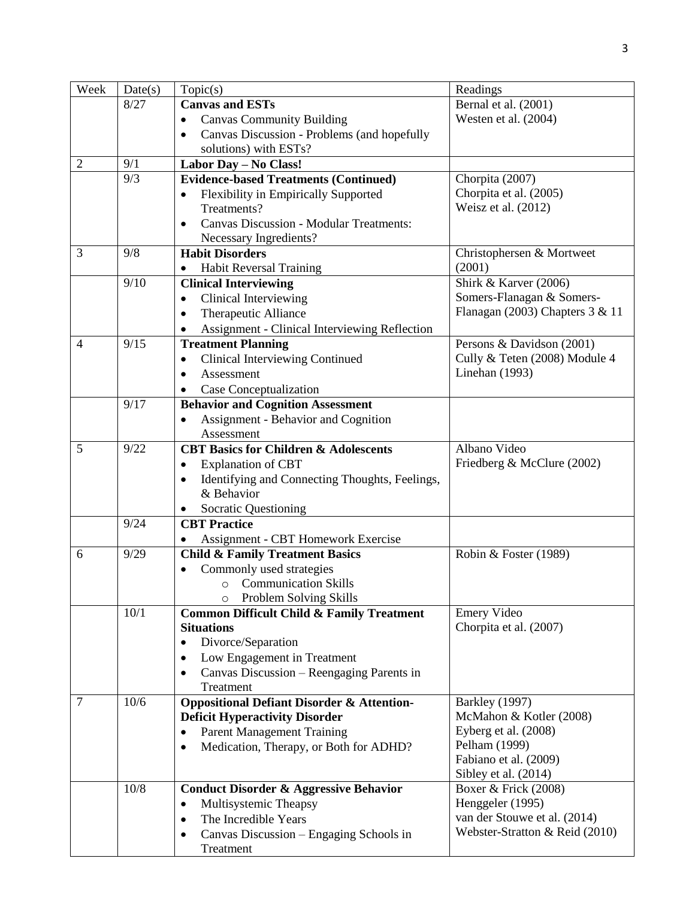| Week           | Date(s) | Topic(s)                                               | Readings                          |
|----------------|---------|--------------------------------------------------------|-----------------------------------|
|                | 8/27    | <b>Canvas and ESTs</b>                                 | Bernal et al. (2001)              |
|                |         | <b>Canvas Community Building</b><br>$\bullet$          | Westen et al. (2004)              |
|                |         | Canvas Discussion - Problems (and hopefully            |                                   |
|                |         | solutions) with ESTs?                                  |                                   |
| $\overline{2}$ | 9/1     | Labor Day - No Class!                                  |                                   |
|                | 9/3     | <b>Evidence-based Treatments (Continued)</b>           | Chorpita (2007)                   |
|                |         | Flexibility in Empirically Supported                   | Chorpita et al. (2005)            |
|                |         | Treatments?                                            | Weisz et al. (2012)               |
|                |         | <b>Canvas Discussion - Modular Treatments:</b>         |                                   |
|                |         | Necessary Ingredients?                                 |                                   |
| 3              | 9/8     | <b>Habit Disorders</b>                                 | Christophersen & Mortweet         |
|                |         | <b>Habit Reversal Training</b><br>$\bullet$            | (2001)                            |
|                | 9/10    | <b>Clinical Interviewing</b>                           | Shirk & Karver (2006)             |
|                |         | Clinical Interviewing<br>$\bullet$                     | Somers-Flanagan & Somers-         |
|                |         | Therapeutic Alliance                                   | Flanagan (2003) Chapters $3 & 11$ |
|                |         | Assignment - Clinical Interviewing Reflection          |                                   |
| $\overline{4}$ | 9/15    | <b>Treatment Planning</b>                              | Persons & Davidson (2001)         |
|                |         | <b>Clinical Interviewing Continued</b><br>٠            | Cully & Teten (2008) Module 4     |
|                |         | Assessment                                             | Linehan (1993)                    |
|                |         | Case Conceptualization                                 |                                   |
|                | 9/17    | <b>Behavior and Cognition Assessment</b>               |                                   |
|                |         | Assignment - Behavior and Cognition                    |                                   |
|                |         | Assessment                                             |                                   |
| 5              | 9/22    | <b>CBT Basics for Children &amp; Adolescents</b>       | Albano Video                      |
|                |         | <b>Explanation of CBT</b><br>٠                         | Friedberg & McClure (2002)        |
|                |         | Identifying and Connecting Thoughts, Feelings,<br>٠    |                                   |
|                |         | & Behavior                                             |                                   |
|                |         | <b>Socratic Questioning</b>                            |                                   |
|                | 9/24    | <b>CBT</b> Practice                                    |                                   |
|                |         | Assignment - CBT Homework Exercise                     |                                   |
| 6              | 9/29    | <b>Child &amp; Family Treatment Basics</b>             | Robin & Foster (1989)             |
|                |         | Commonly used strategies                               |                                   |
|                |         | <b>Communication Skills</b><br>$\circ$                 |                                   |
|                |         | Problem Solving Skills<br>$\circ$                      |                                   |
|                | 10/1    | <b>Common Difficult Child &amp; Family Treatment</b>   | <b>Emery Video</b>                |
|                |         | <b>Situations</b>                                      | Chorpita et al. (2007)            |
|                |         | Divorce/Separation<br>$\bullet$                        |                                   |
|                |         | Low Engagement in Treatment<br>٠                       |                                   |
|                |         | Canvas Discussion - Reengaging Parents in<br>$\bullet$ |                                   |
|                |         | Treatment                                              |                                   |
| $\overline{7}$ | 10/6    | <b>Oppositional Defiant Disorder &amp; Attention-</b>  | <b>Barkley</b> (1997)             |
|                |         | <b>Deficit Hyperactivity Disorder</b>                  | McMahon & Kotler (2008)           |
|                |         | <b>Parent Management Training</b><br>٠                 | Eyberg et al. (2008)              |
|                |         | Medication, Therapy, or Both for ADHD?<br>٠            | Pelham (1999)                     |
|                |         |                                                        | Fabiano et al. (2009)             |
|                |         |                                                        | Sibley et al. (2014)              |
|                | $10/8$  | <b>Conduct Disorder &amp; Aggressive Behavior</b>      | Boxer & Frick (2008)              |
|                |         | Multisystemic Theapsy<br>$\bullet$                     | Henggeler (1995)                  |
|                |         | The Incredible Years<br>$\bullet$                      | van der Stouwe et al. (2014)      |
|                |         | Canvas Discussion - Engaging Schools in<br>٠           | Webster-Stratton & Reid (2010)    |
|                |         | Treatment                                              |                                   |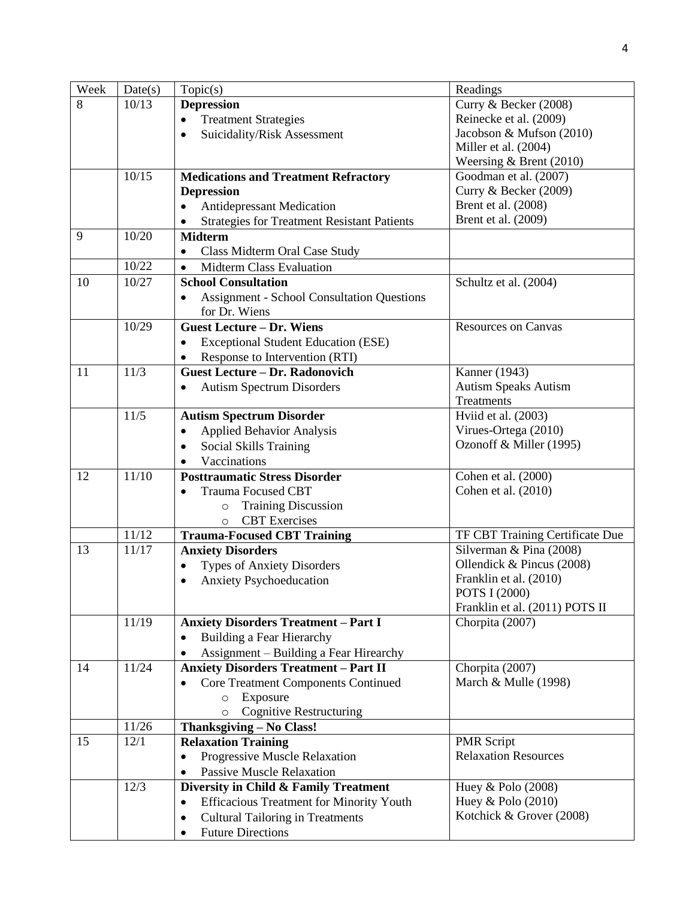| Week | Date(s) | Topic(s)                                                     | Readings                        |
|------|---------|--------------------------------------------------------------|---------------------------------|
| 8    | 10/13   | <b>Depression</b>                                            | Curry & Becker (2008)           |
|      |         | <b>Treatment Strategies</b><br>$\bullet$                     | Reinecke et al. (2009)          |
|      |         | Suicidality/Risk Assessment                                  | Jacobson & Mufson (2010)        |
|      |         |                                                              | Miller et al. (2004)            |
|      |         |                                                              | Weersing & Brent (2010)         |
|      | 10/15   | <b>Medications and Treatment Refractory</b>                  | Goodman et al. (2007)           |
|      |         | <b>Depression</b>                                            | Curry & Becker (2009)           |
|      |         | <b>Antidepressant Medication</b><br>$\bullet$                | Brent et al. (2008)             |
|      |         | <b>Strategies for Treatment Resistant Patients</b>           | Brent et al. (2009)             |
| 9    | 10/20   | <b>Midterm</b>                                               |                                 |
|      |         | Class Midterm Oral Case Study                                |                                 |
|      | 10/22   | <b>Midterm Class Evaluation</b><br>$\bullet$                 |                                 |
| 10   | 10/27   | <b>School Consultation</b>                                   | Schultz et al. (2004)           |
|      |         | <b>Assignment - School Consultation Questions</b>            |                                 |
|      |         | for Dr. Wiens                                                |                                 |
|      | 10/29   | <b>Guest Lecture - Dr. Wiens</b>                             | <b>Resources on Canvas</b>      |
|      |         | <b>Exceptional Student Education (ESE)</b><br>$\bullet$      |                                 |
|      |         | Response to Intervention (RTI)<br>٠                          |                                 |
| 11   | 11/3    | <b>Guest Lecture - Dr. Radonovich</b>                        | Kanner $(1943)$                 |
|      |         | <b>Autism Spectrum Disorders</b>                             | <b>Autism Speaks Autism</b>     |
|      |         |                                                              | Treatments                      |
|      | 11/5    | <b>Autism Spectrum Disorder</b>                              | Hviid et al. (2003)             |
|      |         | <b>Applied Behavior Analysis</b><br>$\bullet$                | Virues-Ortega (2010)            |
|      |         | <b>Social Skills Training</b><br>$\bullet$                   | Ozonoff & Miller (1995)         |
|      |         | Vaccinations                                                 |                                 |
| 12   | 11/10   | <b>Posttraumatic Stress Disorder</b>                         | Cohen et al. (2000)             |
|      |         | <b>Trauma Focused CBT</b><br>$\bullet$                       | Cohen et al. (2010)             |
|      |         | <b>Training Discussion</b><br>$\circ$                        |                                 |
|      |         | <b>CBT</b> Exercises<br>$\circ$                              |                                 |
|      | 11/12   | <b>Trauma-Focused CBT Training</b>                           | TF CBT Training Certificate Due |
| 13   | 11/17   | <b>Anxiety Disorders</b>                                     | Silverman & Pina (2008)         |
|      |         | <b>Types of Anxiety Disorders</b>                            | Ollendick & Pincus (2008)       |
|      |         | <b>Anxiety Psychoeducation</b><br>$\bullet$                  | Franklin et al. (2010)          |
|      |         |                                                              | POTS I (2000)                   |
|      |         |                                                              | Franklin et al. (2011) POTS II  |
|      | 11/19   | <b>Anxiety Disorders Treatment - Part I</b>                  | Chorpita (2007)                 |
|      |         | Building a Fear Hierarchy                                    |                                 |
|      |         | Assignment – Building a Fear Hirearchy                       |                                 |
| 14   | 11/24   | <b>Anxiety Disorders Treatment - Part II</b>                 | Chorpita (2007)                 |
|      |         | <b>Core Treatment Components Continued</b>                   | March & Mulle (1998)            |
|      |         | Exposure<br>$\circ$                                          |                                 |
|      |         | <b>Cognitive Restructuring</b><br>$\Omega$                   |                                 |
|      | 11/26   | Thanksgiving - No Class!                                     |                                 |
| 15   | 12/1    | <b>Relaxation Training</b>                                   | <b>PMR</b> Script               |
|      |         | Progressive Muscle Relaxation<br>$\bullet$                   | <b>Relaxation Resources</b>     |
|      |         | <b>Passive Muscle Relaxation</b><br>٠                        |                                 |
|      | 12/3    | Diversity in Child & Family Treatment                        | Huey & Polo (2008)              |
|      |         | <b>Efficacious Treatment for Minority Youth</b><br>$\bullet$ | Huey & Polo $(2010)$            |
|      |         | <b>Cultural Tailoring in Treatments</b><br>$\bullet$         | Kotchick & Grover (2008)        |
|      |         | <b>Future Directions</b><br>$\bullet$                        |                                 |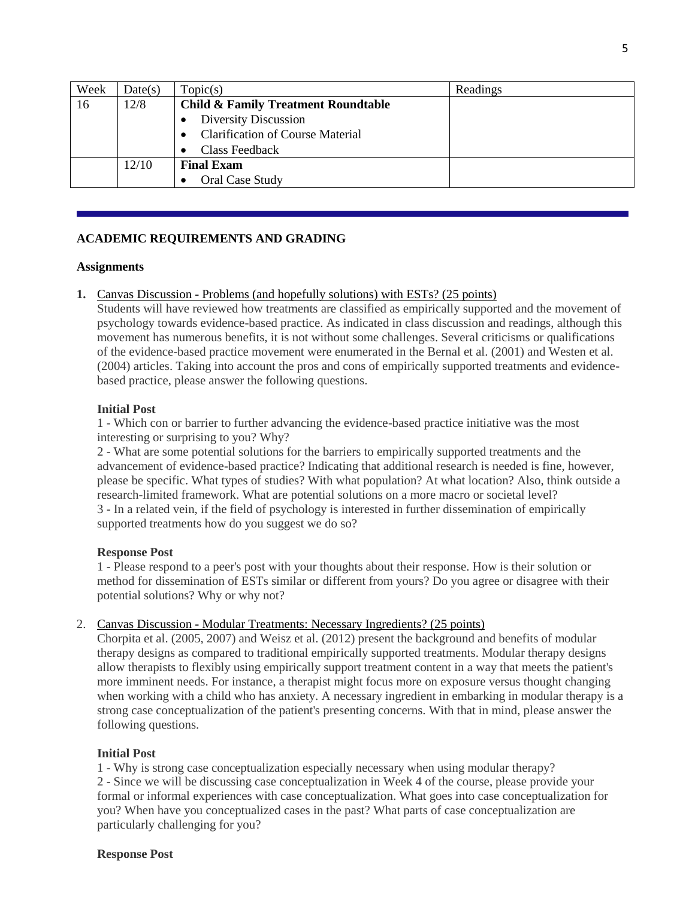| Week | Date(s) | Topic(s)                                       | Readings |
|------|---------|------------------------------------------------|----------|
| 16   | 12/8    | <b>Child &amp; Family Treatment Roundtable</b> |          |
|      |         | Diversity Discussion                           |          |
|      |         | <b>Clarification of Course Material</b>        |          |
|      |         | Class Feedback                                 |          |
|      | 12/10   | <b>Final Exam</b>                              |          |
|      |         | Oral Case Study                                |          |

# **ACADEMIC REQUIREMENTS AND GRADING**

### **Assignments**

## **1.** Canvas Discussion - Problems (and hopefully solutions) with ESTs? (25 points)

Students will have reviewed how treatments are classified as empirically supported and the movement of psychology towards evidence-based practice. As indicated in class discussion and readings, although this movement has numerous benefits, it is not without some challenges. Several criticisms or qualifications of the evidence-based practice movement were enumerated in the Bernal et al. (2001) and Westen et al. (2004) articles. Taking into account the pros and cons of empirically supported treatments and evidencebased practice, please answer the following questions.

## **Initial Post**

1 - Which con or barrier to further advancing the evidence-based practice initiative was the most interesting or surprising to you? Why?

2 - What are some potential solutions for the barriers to empirically supported treatments and the advancement of evidence-based practice? Indicating that additional research is needed is fine, however, please be specific. What types of studies? With what population? At what location? Also, think outside a research-limited framework. What are potential solutions on a more macro or societal level? 3 - In a related vein, if the field of psychology is interested in further dissemination of empirically supported treatments how do you suggest we do so?

## **Response Post**

1 - Please respond to a peer's post with your thoughts about their response. How is their solution or method for dissemination of ESTs similar or different from yours? Do you agree or disagree with their potential solutions? Why or why not?

## 2. Canvas Discussion - Modular Treatments: Necessary Ingredients? (25 points)

Chorpita et al. (2005, 2007) and Weisz et al. (2012) present the background and benefits of modular therapy designs as compared to traditional empirically supported treatments. Modular therapy designs allow therapists to flexibly using empirically support treatment content in a way that meets the patient's more imminent needs. For instance, a therapist might focus more on exposure versus thought changing when working with a child who has anxiety. A necessary ingredient in embarking in modular therapy is a strong case conceptualization of the patient's presenting concerns. With that in mind, please answer the following questions.

#### **Initial Post**

1 - Why is strong case conceptualization especially necessary when using modular therapy? 2 - Since we will be discussing case conceptualization in Week 4 of the course, please provide your formal or informal experiences with case conceptualization. What goes into case conceptualization for you? When have you conceptualized cases in the past? What parts of case conceptualization are particularly challenging for you?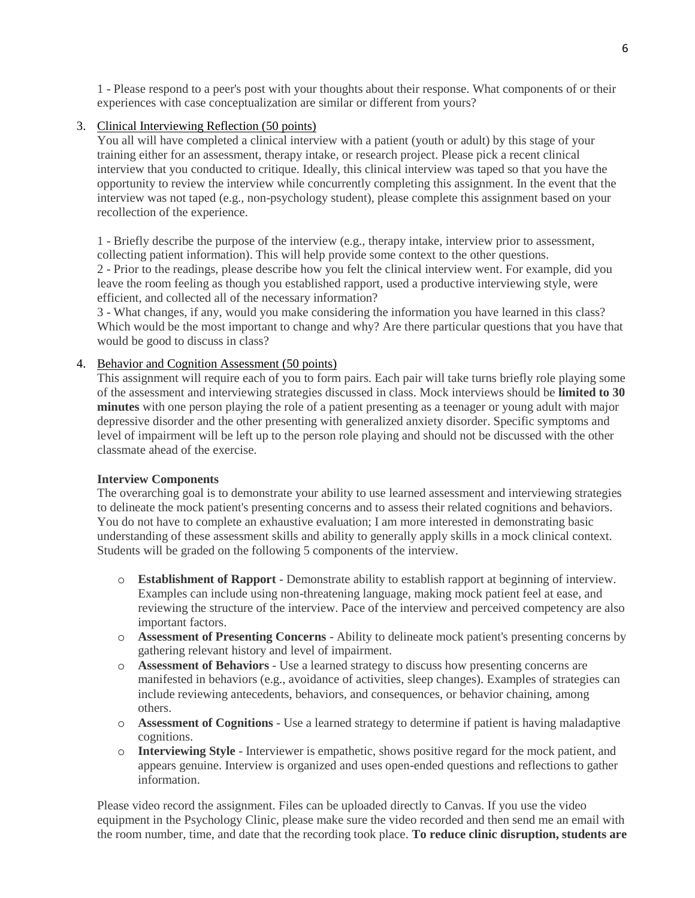1 - Please respond to a peer's post with your thoughts about their response. What components of or their experiences with case conceptualization are similar or different from yours?

## 3. Clinical Interviewing Reflection (50 points)

You all will have completed a clinical interview with a patient (youth or adult) by this stage of your training either for an assessment, therapy intake, or research project. Please pick a recent clinical interview that you conducted to critique. Ideally, this clinical interview was taped so that you have the opportunity to review the interview while concurrently completing this assignment. In the event that the interview was not taped (e.g., non-psychology student), please complete this assignment based on your recollection of the experience.

1 - Briefly describe the purpose of the interview (e.g., therapy intake, interview prior to assessment, collecting patient information). This will help provide some context to the other questions.

2 - Prior to the readings, please describe how you felt the clinical interview went. For example, did you leave the room feeling as though you established rapport, used a productive interviewing style, were efficient, and collected all of the necessary information?

3 - What changes, if any, would you make considering the information you have learned in this class? Which would be the most important to change and why? Are there particular questions that you have that would be good to discuss in class?

### 4. Behavior and Cognition Assessment (50 points)

This assignment will require each of you to form pairs. Each pair will take turns briefly role playing some of the assessment and interviewing strategies discussed in class. Mock interviews should be **limited to 30 minutes** with one person playing the role of a patient presenting as a teenager or young adult with major depressive disorder and the other presenting with generalized anxiety disorder. Specific symptoms and level of impairment will be left up to the person role playing and should not be discussed with the other classmate ahead of the exercise.

#### **Interview Components**

The overarching goal is to demonstrate your ability to use learned assessment and interviewing strategies to delineate the mock patient's presenting concerns and to assess their related cognitions and behaviors. You do not have to complete an exhaustive evaluation; I am more interested in demonstrating basic understanding of these assessment skills and ability to generally apply skills in a mock clinical context. Students will be graded on the following 5 components of the interview.

- o **Establishment of Rapport** Demonstrate ability to establish rapport at beginning of interview. Examples can include using non-threatening language, making mock patient feel at ease, and reviewing the structure of the interview. Pace of the interview and perceived competency are also important factors.
- o **Assessment of Presenting Concerns** Ability to delineate mock patient's presenting concerns by gathering relevant history and level of impairment.
- o **Assessment of Behaviors** Use a learned strategy to discuss how presenting concerns are manifested in behaviors (e.g., avoidance of activities, sleep changes). Examples of strategies can include reviewing antecedents, behaviors, and consequences, or behavior chaining, among others.
- o **Assessment of Cognitions** Use a learned strategy to determine if patient is having maladaptive cognitions.
- o **Interviewing Style** Interviewer is empathetic, shows positive regard for the mock patient, and appears genuine. Interview is organized and uses open-ended questions and reflections to gather information.

Please video record the assignment. Files can be uploaded directly to Canvas. If you use the video equipment in the Psychology Clinic, please make sure the video recorded and then send me an email with the room number, time, and date that the recording took place. **To reduce clinic disruption, students are**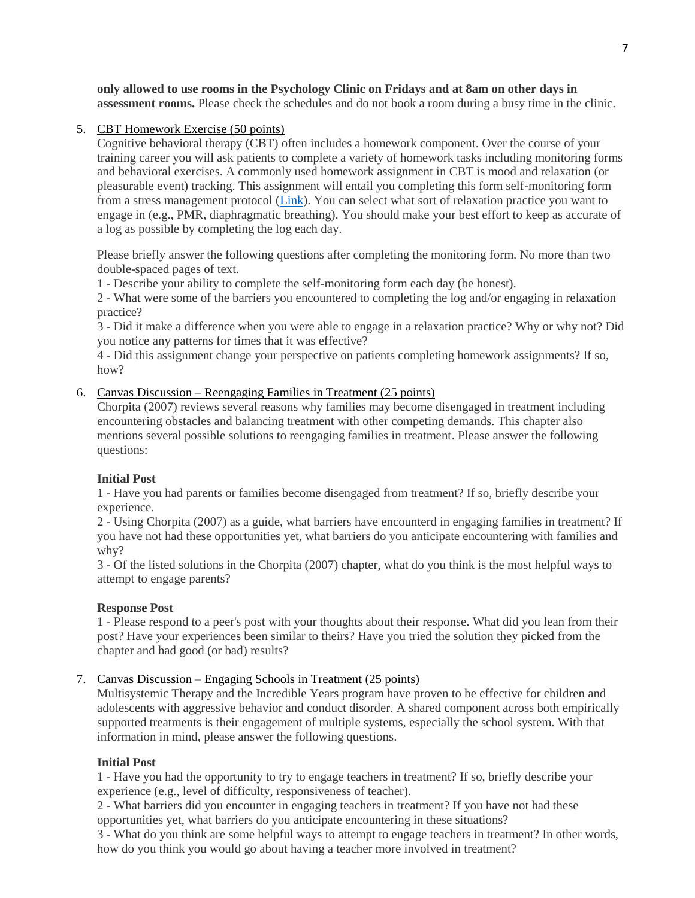**only allowed to use rooms in the Psychology Clinic on Fridays and at 8am on other days in assessment rooms.** Please check the schedules and do not book a room during a busy time in the clinic.

## 5. CBT Homework Exercise (50 points)

Cognitive behavioral therapy (CBT) often includes a homework component. Over the course of your training career you will ask patients to complete a variety of homework tasks including monitoring forms and behavioral exercises. A commonly used homework assignment in CBT is mood and relaxation (or pleasurable event) tracking. This assignment will entail you completing this form self-monitoring form from a stress management protocol [\(Link\)](http://global.oup.com/us/companion.websites/fdscontent/uscompanion/us/pdf/treatments/Daily_Self_Monitoring_Sheet.pdf). You can select what sort of relaxation practice you want to engage in (e.g., PMR, diaphragmatic breathing). You should make your best effort to keep as accurate of a log as possible by completing the log each day.

Please briefly answer the following questions after completing the monitoring form. No more than two double-spaced pages of text.

1 - Describe your ability to complete the self-monitoring form each day (be honest).

2 - What were some of the barriers you encountered to completing the log and/or engaging in relaxation practice?

3 - Did it make a difference when you were able to engage in a relaxation practice? Why or why not? Did you notice any patterns for times that it was effective?

4 - Did this assignment change your perspective on patients completing homework assignments? If so, how?

# 6. Canvas Discussion – Reengaging Families in Treatment (25 points)

Chorpita (2007) reviews several reasons why families may become disengaged in treatment including encountering obstacles and balancing treatment with other competing demands. This chapter also mentions several possible solutions to reengaging families in treatment. Please answer the following questions:

## **Initial Post**

1 - Have you had parents or families become disengaged from treatment? If so, briefly describe your experience.

2 - Using Chorpita (2007) as a guide, what barriers have encounterd in engaging families in treatment? If you have not had these opportunities yet, what barriers do you anticipate encountering with families and why?

3 - Of the listed solutions in the Chorpita (2007) chapter, what do you think is the most helpful ways to attempt to engage parents?

## **Response Post**

1 - Please respond to a peer's post with your thoughts about their response. What did you lean from their post? Have your experiences been similar to theirs? Have you tried the solution they picked from the chapter and had good (or bad) results?

# 7. Canvas Discussion – Engaging Schools in Treatment (25 points)

Multisystemic Therapy and the Incredible Years program have proven to be effective for children and adolescents with aggressive behavior and conduct disorder. A shared component across both empirically supported treatments is their engagement of multiple systems, especially the school system. With that information in mind, please answer the following questions.

## **Initial Post**

1 - Have you had the opportunity to try to engage teachers in treatment? If so, briefly describe your experience (e.g., level of difficulty, responsiveness of teacher).

2 - What barriers did you encounter in engaging teachers in treatment? If you have not had these opportunities yet, what barriers do you anticipate encountering in these situations?

3 - What do you think are some helpful ways to attempt to engage teachers in treatment? In other words, how do you think you would go about having a teacher more involved in treatment?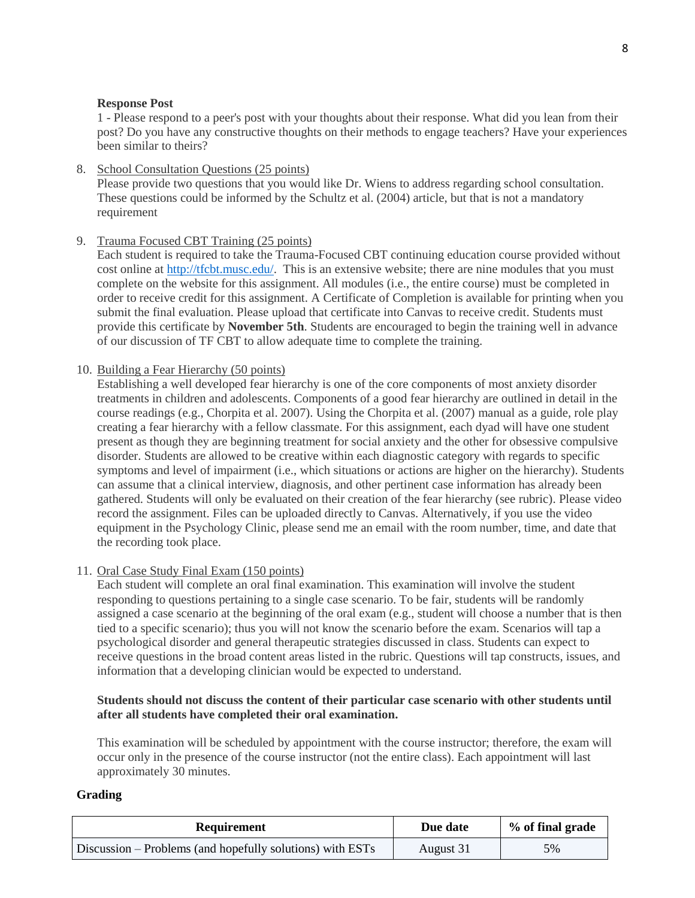### **Response Post**

1 - Please respond to a peer's post with your thoughts about their response. What did you lean from their post? Do you have any constructive thoughts on their methods to engage teachers? Have your experiences been similar to theirs?

8. School Consultation Questions (25 points) Please provide two questions that you would like Dr. Wiens to address regarding school consultation. These questions could be informed by the Schultz et al. (2004) article, but that is not a mandatory requirement

## 9. Trauma Focused CBT Training (25 points)

Each student is required to take the Trauma-Focused CBT continuing education course provided without cost online at [http://tfcbt.musc.edu/.](http://tfcbt.musc.edu/) This is an extensive website; there are nine modules that you must complete on the website for this assignment. All modules (i.e., the entire course) must be completed in order to receive credit for this assignment. A Certificate of Completion is available for printing when you submit the final evaluation. Please upload that certificate into Canvas to receive credit. Students must provide this certificate by **November 5th**. Students are encouraged to begin the training well in advance of our discussion of TF CBT to allow adequate time to complete the training.

### 10. Building a Fear Hierarchy (50 points)

Establishing a well developed fear hierarchy is one of the core components of most anxiety disorder treatments in children and adolescents. Components of a good fear hierarchy are outlined in detail in the course readings (e.g., Chorpita et al. 2007). Using the Chorpita et al. (2007) manual as a guide, role play creating a fear hierarchy with a fellow classmate. For this assignment, each dyad will have one student present as though they are beginning treatment for social anxiety and the other for obsessive compulsive disorder. Students are allowed to be creative within each diagnostic category with regards to specific symptoms and level of impairment (i.e., which situations or actions are higher on the hierarchy). Students can assume that a clinical interview, diagnosis, and other pertinent case information has already been gathered. Students will only be evaluated on their creation of the fear hierarchy (see rubric). Please video record the assignment. Files can be uploaded directly to Canvas. Alternatively, if you use the video equipment in the Psychology Clinic, please send me an email with the room number, time, and date that the recording took place.

## 11. Oral Case Study Final Exam (150 points)

Each student will complete an oral final examination. This examination will involve the student responding to questions pertaining to a single case scenario. To be fair, students will be randomly assigned a case scenario at the beginning of the oral exam (e.g., student will choose a number that is then tied to a specific scenario); thus you will not know the scenario before the exam. Scenarios will tap a psychological disorder and general therapeutic strategies discussed in class. Students can expect to receive questions in the broad content areas listed in the rubric. Questions will tap constructs, issues, and information that a developing clinician would be expected to understand.

### **Students should not discuss the content of their particular case scenario with other students until after all students have completed their oral examination.**

This examination will be scheduled by appointment with the course instructor; therefore, the exam will occur only in the presence of the course instructor (not the entire class). Each appointment will last approximately 30 minutes.

#### **Grading**

| <b>Requirement</b>                                        | Due date  | % of final grade |
|-----------------------------------------------------------|-----------|------------------|
| Discussion – Problems (and hopefully solutions) with ESTs | August 31 | 5%               |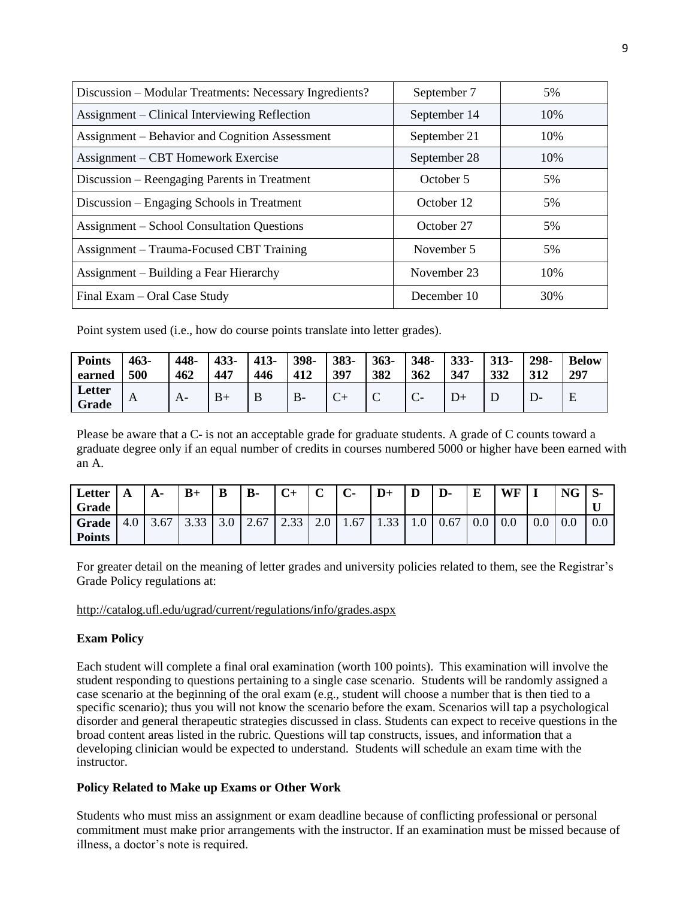| Discussion – Modular Treatments: Necessary Ingredients? | September 7  | 5%  |
|---------------------------------------------------------|--------------|-----|
| Assignment – Clinical Interviewing Reflection           | September 14 | 10% |
| Assignment – Behavior and Cognition Assessment          | September 21 | 10% |
| Assignment – CBT Homework Exercise                      | September 28 | 10% |
| Discussion – Reengaging Parents in Treatment            | October 5    | 5%  |
| Discussion – Engaging Schools in Treatment              | October 12   | 5%  |
| <b>Assignment – School Consultation Questions</b>       | October 27   | 5%  |
| Assignment – Trauma-Focused CBT Training                | November 5   | 5%  |
| Assignment – Building a Fear Hierarchy                  | November 23  | 10% |
| Final Exam – Oral Case Study                            | December 10  | 30% |

Point system used (i.e., how do course points translate into letter grades).

| <b>Points</b>   | $463 -$ | 448- | 433- | $413 -$ | 398- | 383- | $363 -$ | 348-        | $333 -$ | $313 -$ | 298- | <b>Below</b> |
|-----------------|---------|------|------|---------|------|------|---------|-------------|---------|---------|------|--------------|
| earned          | 500     | 462  | 447  | 446     | 412  | 397  | 382     | 362         | 347     | 332     | 312  | 297          |
| Letter<br>Grade | A       |      | $B+$ | D       | D-   | ◡    | ◡       | ⌒<br>$\sim$ |         |         |      | Ε            |

Please be aware that a C- is not an acceptable grade for graduate students. A grade of C counts toward a graduate degree only if an equal number of credits in courses numbered 5000 or higher have been earned with an A.

| Letter<br>Grade        | A   | A-   | $B+$           | B   | <b>B-</b> | $C+$             | $\sqrt{ }$<br>◡ | $\sim$<br>U- | $D+$ | ע                | D-   | E   | WF  |         | <b>NG</b> | D-  |
|------------------------|-----|------|----------------|-----|-----------|------------------|-----------------|--------------|------|------------------|------|-----|-----|---------|-----------|-----|
| Grade<br><b>Points</b> | 4.0 | 3.67 | $\sim$<br>J.JJ | J.U | 2.67      | $\Omega$<br>2.55 | Z.U             | 1.67         | 1.33 | 1.0 <sub>1</sub> | 0.67 | v.v | 0.0 | $0.0\,$ | 0.0       | U.U |

For greater detail on the meaning of letter grades and university policies related to them, see the Registrar's Grade Policy regulations at:

<http://catalog.ufl.edu/ugrad/current/regulations/info/grades.aspx>

## **Exam Policy**

Each student will complete a final oral examination (worth 100 points). This examination will involve the student responding to questions pertaining to a single case scenario. Students will be randomly assigned a case scenario at the beginning of the oral exam (e.g., student will choose a number that is then tied to a specific scenario); thus you will not know the scenario before the exam. Scenarios will tap a psychological disorder and general therapeutic strategies discussed in class. Students can expect to receive questions in the broad content areas listed in the rubric. Questions will tap constructs, issues, and information that a developing clinician would be expected to understand. Students will schedule an exam time with the instructor.

## **Policy Related to Make up Exams or Other Work**

Students who must miss an assignment or exam deadline because of conflicting professional or personal commitment must make prior arrangements with the instructor. If an examination must be missed because of illness, a doctor's note is required.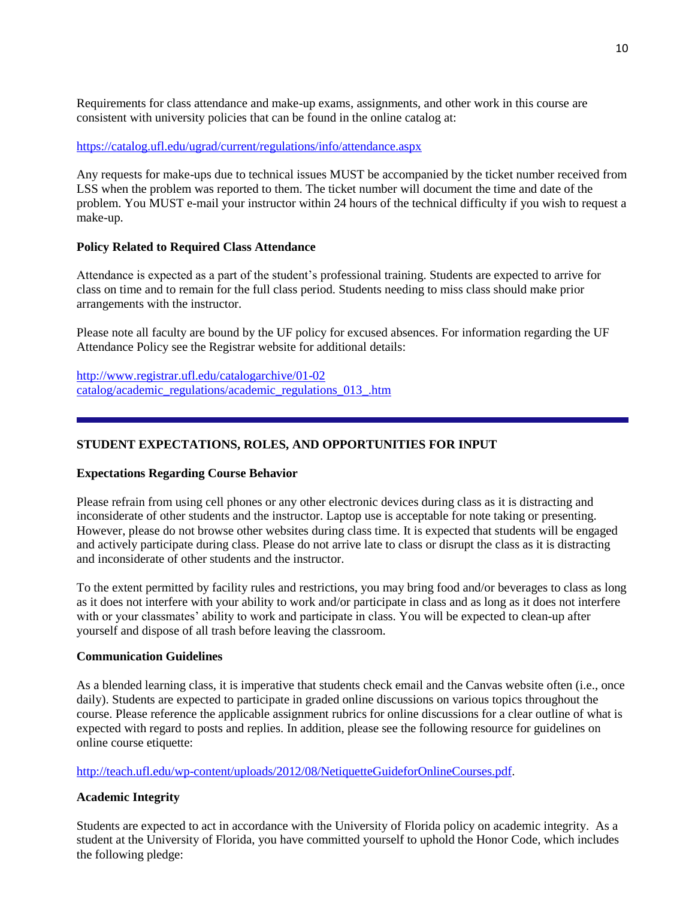Requirements for class attendance and make-up exams, assignments, and other work in this course are consistent with university policies that can be found in the online catalog at:

#### <https://catalog.ufl.edu/ugrad/current/regulations/info/attendance.aspx>

Any requests for make-ups due to technical issues MUST be accompanied by the ticket number received from LSS when the problem was reported to them. The ticket number will document the time and date of the problem. You MUST e-mail your instructor within 24 hours of the technical difficulty if you wish to request a make-up.

#### **Policy Related to Required Class Attendance**

Attendance is expected as a part of the student's professional training. Students are expected to arrive for class on time and to remain for the full class period. Students needing to miss class should make prior arrangements with the instructor.

Please note all faculty are bound by the UF policy for excused absences. For information regarding the UF Attendance Policy see the Registrar website for additional details:

[http://www.registrar.ufl.edu/catalogarchive/01-02](http://www.registrar.ufl.edu/catalogarchive/01-02%20catalog/academic_regulations/academic_regulations_013_.htm)  [catalog/academic\\_regulations/academic\\_regulations\\_013\\_.htm](http://www.registrar.ufl.edu/catalogarchive/01-02%20catalog/academic_regulations/academic_regulations_013_.htm)

### **STUDENT EXPECTATIONS, ROLES, AND OPPORTUNITIES FOR INPUT**

#### **Expectations Regarding Course Behavior**

Please refrain from using cell phones or any other electronic devices during class as it is distracting and inconsiderate of other students and the instructor. Laptop use is acceptable for note taking or presenting. However, please do not browse other websites during class time. It is expected that students will be engaged and actively participate during class. Please do not arrive late to class or disrupt the class as it is distracting and inconsiderate of other students and the instructor.

To the extent permitted by facility rules and restrictions, you may bring food and/or beverages to class as long as it does not interfere with your ability to work and/or participate in class and as long as it does not interfere with or your classmates' ability to work and participate in class. You will be expected to clean-up after yourself and dispose of all trash before leaving the classroom.

### **Communication Guidelines**

As a blended learning class, it is imperative that students check email and the Canvas website often (i.e., once daily). Students are expected to participate in graded online discussions on various topics throughout the course. Please reference the applicable assignment rubrics for online discussions for a clear outline of what is expected with regard to posts and replies. In addition, please see the following resource for guidelines on online course etiquette:

[http://teach.ufl.edu/wp-content/uploads/2012/08/NetiquetteGuideforOnlineCourses.pdf.](http://teach.ufl.edu/wp-content/uploads/2012/08/NetiquetteGuideforOnlineCourses.pdf)

#### **Academic Integrity**

Students are expected to act in accordance with the University of Florida policy on academic integrity. As a student at the University of Florida, you have committed yourself to uphold the Honor Code, which includes the following pledge: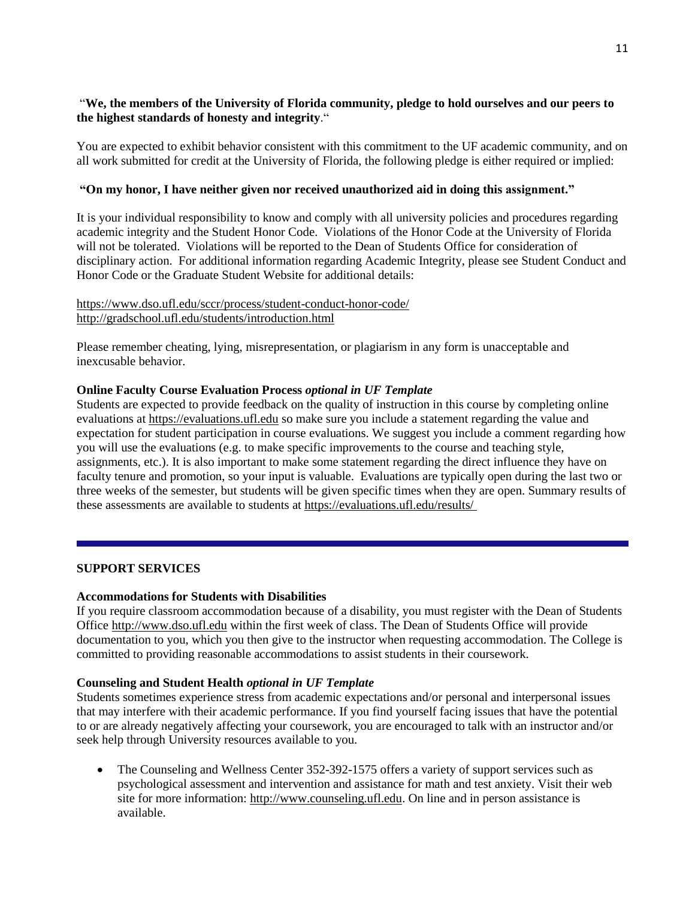## "**We, the members of the University of Florida community, pledge to hold ourselves and our peers to the highest standards of honesty and integrity**."

You are expected to exhibit behavior consistent with this commitment to the UF academic community, and on all work submitted for credit at the University of Florida, the following pledge is either required or implied:

### **"On my honor, I have neither given nor received unauthorized aid in doing this assignment."**

It is your individual responsibility to know and comply with all university policies and procedures regarding academic integrity and the Student Honor Code. Violations of the Honor Code at the University of Florida will not be tolerated. Violations will be reported to the Dean of Students Office for consideration of disciplinary action. For additional information regarding Academic Integrity, please see Student Conduct and Honor Code or the Graduate Student Website for additional details:

## <https://www.dso.ufl.edu/sccr/process/student-conduct-honor-code/> <http://gradschool.ufl.edu/students/introduction.html>

Please remember cheating, lying, misrepresentation, or plagiarism in any form is unacceptable and inexcusable behavior.

### **Online Faculty Course Evaluation Process** *optional in UF Template*

Students are expected to provide feedback on the quality of instruction in this course by completing online evaluations at [https://evaluations.ufl.edu](https://evaluations.ufl.edu/) so make sure you include a statement regarding the value and expectation for student participation in course evaluations. We suggest you include a comment regarding how you will use the evaluations (e.g. to make specific improvements to the course and teaching style, assignments, etc.). It is also important to make some statement regarding the direct influence they have on faculty tenure and promotion, so your input is valuable. Evaluations are typically open during the last two or three weeks of the semester, but students will be given specific times when they are open. Summary results of these assessments are available to students at [https://evaluations.ufl.edu/results/](https://evaluations.ufl.edu/results/ )

### **SUPPORT SERVICES**

#### **Accommodations for Students with Disabilities**

If you require classroom accommodation because of a disability, you must register with the Dean of Students Office [http://www.dso.ufl.edu](http://www.dso.ufl.edu/) within the first week of class. The Dean of Students Office will provide documentation to you, which you then give to the instructor when requesting accommodation. The College is committed to providing reasonable accommodations to assist students in their coursework.

#### **Counseling and Student Health** *optional in UF Template*

Students sometimes experience stress from academic expectations and/or personal and interpersonal issues that may interfere with their academic performance. If you find yourself facing issues that have the potential to or are already negatively affecting your coursework, you are encouraged to talk with an instructor and/or seek help through University resources available to you.

• The Counseling and Wellness Center 352-392-1575 offers a variety of support services such as psychological assessment and intervention and assistance for math and test anxiety. Visit their web site for more information: [http://www.counseling.ufl.edu.](http://www.counseling.ufl.edu/) On line and in person assistance is available.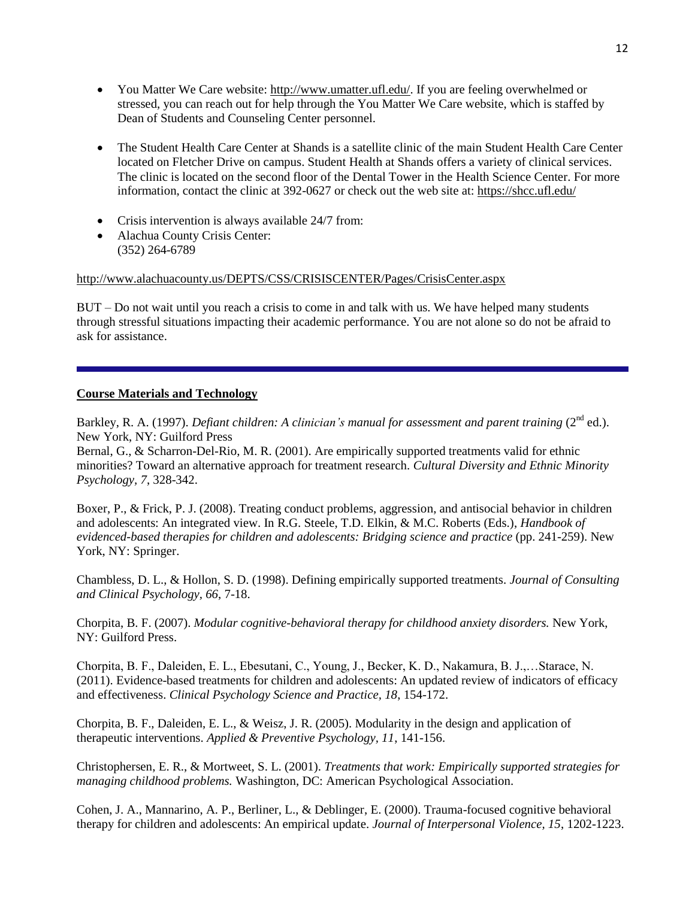- You Matter We Care website: [http://www.umatter.ufl.edu/.](http://www.umatter.ufl.edu/) If you are feeling overwhelmed or stressed, you can reach out for help through the You Matter We Care website, which is staffed by Dean of Students and Counseling Center personnel.
- The Student Health Care Center at Shands is a satellite clinic of the main Student Health Care Center located on Fletcher Drive on campus. Student Health at Shands offers a variety of clinical services. The clinic is located on the second floor of the Dental Tower in the Health Science Center. For more information, contact the clinic at 392-0627 or check out the web site at: <https://shcc.ufl.edu/>
- Crisis intervention is always available 24/7 from:
- Alachua County Crisis Center: (352) 264-6789

<http://www.alachuacounty.us/DEPTS/CSS/CRISISCENTER/Pages/CrisisCenter.aspx>

BUT – Do not wait until you reach a crisis to come in and talk with us. We have helped many students through stressful situations impacting their academic performance. You are not alone so do not be afraid to ask for assistance.

## **Course Materials and Technology**

Barkley, R. A. (1997). *Defiant children: A clinician's manual for assessment and parent training* (2<sup>nd</sup> ed.). New York, NY: Guilford Press

Bernal, G., & Scharron-Del-Rio, M. R. (2001). Are empirically supported treatments valid for ethnic minorities? Toward an alternative approach for treatment research. *Cultural Diversity and Ethnic Minority Psychology, 7*, 328-342.

Boxer, P., & Frick, P. J. (2008). Treating conduct problems, aggression, and antisocial behavior in children and adolescents: An integrated view. In R.G. Steele, T.D. Elkin, & M.C. Roberts (Eds.), *Handbook of evidenced-based therapies for children and adolescents: Bridging science and practice* (pp. 241-259). New York, NY: Springer.

Chambless, D. L., & Hollon, S. D. (1998). Defining empirically supported treatments. *Journal of Consulting and Clinical Psychology, 66*, 7-18.

Chorpita, B. F. (2007). *Modular cognitive-behavioral therapy for childhood anxiety disorders.* New York, NY: Guilford Press.

Chorpita, B. F., Daleiden, E. L., Ebesutani, C., Young, J., Becker, K. D., Nakamura, B. J.,…Starace, N. (2011). Evidence-based treatments for children and adolescents: An updated review of indicators of efficacy and effectiveness. *Clinical Psychology Science and Practice, 18*, 154-172.

Chorpita, B. F., Daleiden, E. L., & Weisz, J. R. (2005). Modularity in the design and application of therapeutic interventions. *Applied & Preventive Psychology, 11*, 141-156.

Christophersen, E. R., & Mortweet, S. L. (2001). *Treatments that work: Empirically supported strategies for managing childhood problems.* Washington, DC: American Psychological Association.

Cohen, J. A., Mannarino, A. P., Berliner, L., & Deblinger, E. (2000). Trauma-focused cognitive behavioral therapy for children and adolescents: An empirical update. *Journal of Interpersonal Violence, 15*, 1202-1223.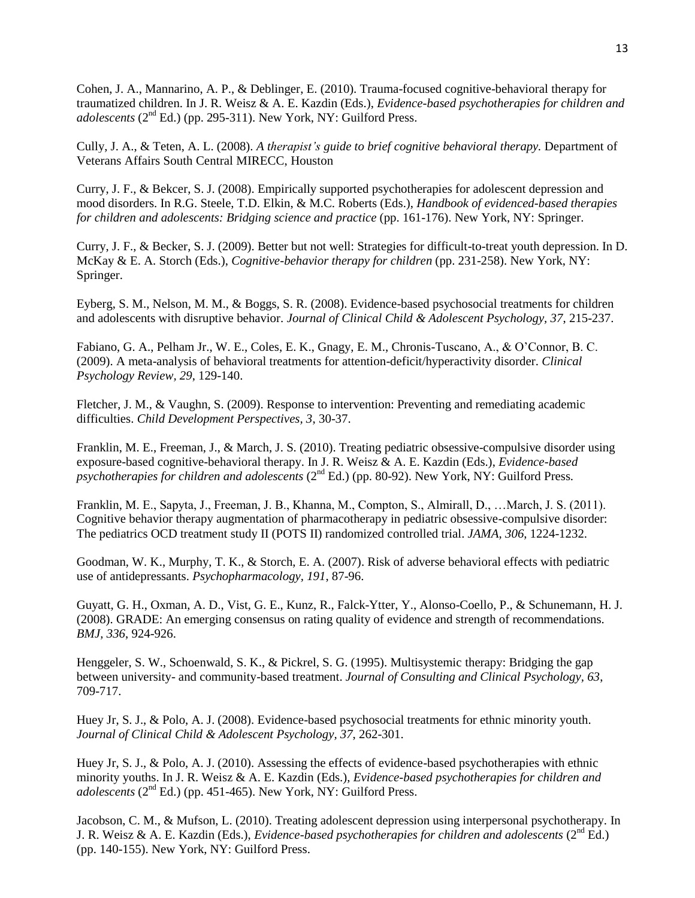Cohen, J. A., Mannarino, A. P., & Deblinger, E. (2010). Trauma-focused cognitive-behavioral therapy for traumatized children. In J. R. Weisz & A. E. Kazdin (Eds.), *Evidence-based psychotherapies for children and adolescents*  $(2^{nd} Ed.)$  (pp. 295-311). New York, NY: Guilford Press.

Cully, J. A., & Teten, A. L. (2008). *A therapist's guide to brief cognitive behavioral therapy.* Department of Veterans Affairs South Central MIRECC, Houston

Curry, J. F., & Bekcer, S. J. (2008). Empirically supported psychotherapies for adolescent depression and mood disorders. In R.G. Steele, T.D. Elkin, & M.C. Roberts (Eds.), *Handbook of evidenced-based therapies for children and adolescents: Bridging science and practice* (pp. 161-176). New York, NY: Springer.

Curry, J. F., & Becker, S. J. (2009). Better but not well: Strategies for difficult-to-treat youth depression. In D. McKay & E. A. Storch (Eds.), *Cognitive-behavior therapy for children* (pp. 231-258). New York, NY: Springer.

Eyberg, S. M., Nelson, M. M., & Boggs, S. R. (2008). Evidence-based psychosocial treatments for children and adolescents with disruptive behavior. *Journal of Clinical Child & Adolescent Psychology, 37*, 215-237.

Fabiano, G. A., Pelham Jr., W. E., Coles, E. K., Gnagy, E. M., Chronis-Tuscano, A., & O'Connor, B. C. (2009). A meta-analysis of behavioral treatments for attention-deficit/hyperactivity disorder. *Clinical Psychology Review, 29*, 129-140.

Fletcher, J. M., & Vaughn, S. (2009). Response to intervention: Preventing and remediating academic difficulties. *Child Development Perspectives, 3*, 30-37.

Franklin, M. E., Freeman, J., & March, J. S. (2010). Treating pediatric obsessive-compulsive disorder using exposure-based cognitive-behavioral therapy. In J. R. Weisz & A. E. Kazdin (Eds.), *Evidence-based psychotherapies for children and adolescents* (2<sup>nd</sup> Ed.) (pp. 80-92). New York, NY: Guilford Press.

Franklin, M. E., Sapyta, J., Freeman, J. B., Khanna, M., Compton, S., Almirall, D., …March, J. S. (2011). Cognitive behavior therapy augmentation of pharmacotherapy in pediatric obsessive-compulsive disorder: The pediatrics OCD treatment study II (POTS II) randomized controlled trial. *JAMA, 306*, 1224-1232.

Goodman, W. K., Murphy, T. K., & Storch, E. A. (2007). Risk of adverse behavioral effects with pediatric use of antidepressants. *Psychopharmacology, 191*, 87-96.

Guyatt, G. H., Oxman, A. D., Vist, G. E., Kunz, R., Falck-Ytter, Y., Alonso-Coello, P., & Schunemann, H. J. (2008). GRADE: An emerging consensus on rating quality of evidence and strength of recommendations. *BMJ, 336*, 924-926.

Henggeler, S. W., Schoenwald, S. K., & Pickrel, S. G. (1995). Multisystemic therapy: Bridging the gap between university- and community-based treatment. *Journal of Consulting and Clinical Psychology, 63*, 709-717.

Huey Jr, S. J., & Polo, A. J. (2008). Evidence-based psychosocial treatments for ethnic minority youth. *Journal of Clinical Child & Adolescent Psychology, 37*, 262-301.

Huey Jr, S. J., & Polo, A. J. (2010). Assessing the effects of evidence-based psychotherapies with ethnic minority youths. In J. R. Weisz & A. E. Kazdin (Eds.), *Evidence-based psychotherapies for children and adolescents* (2nd Ed.) (pp. 451-465). New York, NY: Guilford Press.

Jacobson, C. M., & Mufson, L. (2010). Treating adolescent depression using interpersonal psychotherapy. In J. R. Weisz & A. E. Kazdin (Eds.), *Evidence-based psychotherapies for children and adolescents* ( $2<sup>nd</sup> Ed$ .) (pp. 140-155). New York, NY: Guilford Press.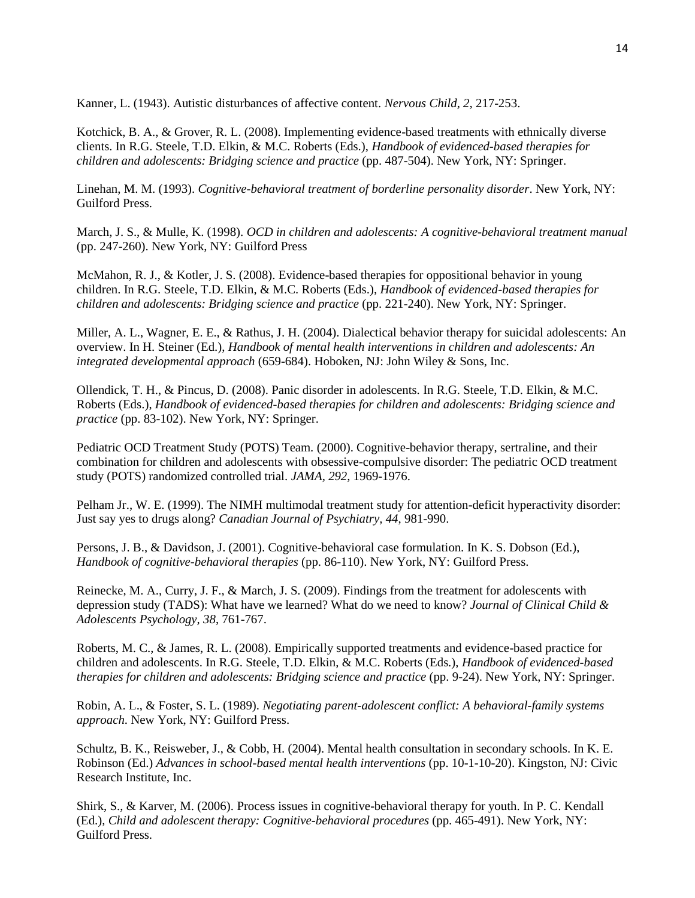Kanner, L. (1943). Autistic disturbances of affective content. *Nervous Child, 2,* 217-253.

Kotchick, B. A., & Grover, R. L. (2008). Implementing evidence-based treatments with ethnically diverse clients. In R.G. Steele, T.D. Elkin, & M.C. Roberts (Eds.), *Handbook of evidenced-based therapies for children and adolescents: Bridging science and practice* (pp. 487-504). New York, NY: Springer.

Linehan, M. M. (1993). *Cognitive-behavioral treatment of borderline personality disorder*. New York, NY: Guilford Press.

March, J. S., & Mulle, K. (1998). *OCD in children and adolescents: A cognitive-behavioral treatment manual*  (pp. 247-260). New York, NY: Guilford Press

McMahon, R. J., & Kotler, J. S. (2008). Evidence-based therapies for oppositional behavior in young children. In R.G. Steele, T.D. Elkin, & M.C. Roberts (Eds.), *Handbook of evidenced-based therapies for children and adolescents: Bridging science and practice* (pp. 221-240). New York, NY: Springer.

Miller, A. L., Wagner, E. E., & Rathus, J. H. (2004). Dialectical behavior therapy for suicidal adolescents: An overview. In H. Steiner (Ed.), *Handbook of mental health interventions in children and adolescents: An integrated developmental approach* (659-684). Hoboken, NJ: John Wiley & Sons, Inc.

Ollendick, T. H., & Pincus, D. (2008). Panic disorder in adolescents. In R.G. Steele, T.D. Elkin, & M.C. Roberts (Eds.), *Handbook of evidenced-based therapies for children and adolescents: Bridging science and practice* (pp. 83-102). New York, NY: Springer.

Pediatric OCD Treatment Study (POTS) Team. (2000). Cognitive-behavior therapy, sertraline, and their combination for children and adolescents with obsessive-compulsive disorder: The pediatric OCD treatment study (POTS) randomized controlled trial. *JAMA, 292*, 1969-1976.

Pelham Jr., W. E. (1999). The NIMH multimodal treatment study for attention-deficit hyperactivity disorder: Just say yes to drugs along? *Canadian Journal of Psychiatry, 44*, 981-990.

Persons, J. B., & Davidson, J. (2001). Cognitive-behavioral case formulation. In K. S. Dobson (Ed.), *Handbook of cognitive-behavioral therapies* (pp. 86-110). New York, NY: Guilford Press.

Reinecke, M. A., Curry, J. F., & March, J. S. (2009). Findings from the treatment for adolescents with depression study (TADS): What have we learned? What do we need to know? *Journal of Clinical Child & Adolescents Psychology, 38*, 761-767.

Roberts, M. C., & James, R. L. (2008). Empirically supported treatments and evidence-based practice for children and adolescents. In R.G. Steele, T.D. Elkin, & M.C. Roberts (Eds.), *Handbook of evidenced-based therapies for children and adolescents: Bridging science and practice* (pp. 9-24). New York, NY: Springer.

Robin, A. L., & Foster, S. L. (1989). *Negotiating parent-adolescent conflict: A behavioral-family systems approach*. New York, NY: Guilford Press.

Schultz, B. K., Reisweber, J., & Cobb, H. (2004). Mental health consultation in secondary schools. In K. E. Robinson (Ed.) *Advances in school-based mental health interventions* (pp. 10-1-10-20). Kingston, NJ: Civic Research Institute, Inc.

Shirk, S., & Karver, M. (2006). Process issues in cognitive-behavioral therapy for youth. In P. C. Kendall (Ed.), *Child and adolescent therapy: Cognitive-behavioral procedures* (pp. 465-491). New York, NY: Guilford Press.